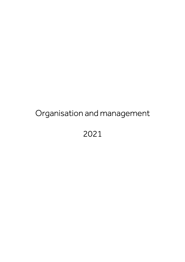# Organisation and management

2021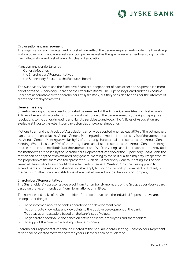# JYSKE BANK

# Organisation and management

The organisation and management of Jyske Bank reflect the general requirements under the Danish legislation governing financial markets and companies as well as the special requirements ensuing from financial legislation and Jyske Bank's Articles of Association.

Management is undertaken by

- General Meetings
- the Shareholders' Representatives
- the Supervisory Board and the Executive Board

The Supervisory Board and the Executive Board are independent of each other and no person is a member of both the Supervisory Board and the Executive Board. The Supervisory Board and the Executive Board are accountable to the shareholders of Jyske Bank, but they seek also to consider the interests of clients and employees as well.

## General meeting

Shareholders' right to pass resolutions shall be exercised at the Annual General Meeting. Jyske Bank's Articles of Association contain information about notice of the general meeting, the right to propose resolutions to the general meeting and right to participate and vote. The Articles of Association are available at investor.jyskebank.com/investorrelations/generalmeetings.

Motions to amend the Articles of Association can only be adopted when at least 90% of the voting share capital is represented at the Annual General Meeting and the motion is adopted by ¾ of the votes cast at the Annual General Meeting as well as by 3/4 of the voting share capital represented at the Annual General Meeting. Where less than 90% of the voting share capital is represented at the Annual General Meeting, but the motion obtained both 3/4 of the votes cast and 3/4 of the voting capital represented, and provided the motion was proposed by the Shareholders' Representatives and/or the Supervisory Board Bank, the motion can be adopted at an extraordinary general meeting by the said qualified majority irrespective of the proportion of the share capital represented. Such an Extraordinary General Meeting shall be convened at the usual notice within 14 days after the first General Meeting. Only the rules applying to amendments of the Articles of Association shall apply to motions to wind up Jyske Bank voluntarily or merge it with other financial institutions where Jyske Bank will not be the surviving company.

### Shareholders' Representatives

The Shareholders' Representatives elect from its number six members of the Group Supervisory Board based on the recommendation from Nomination Committee.

The purpose and tasks of the Shareholders' Representatives and the individual Representative are, among other things:

- To be informed about the bank's operations and development plans.
- To contribute knowledge and viewpoints to the positive development of the bank.
- To act as as ambassadors based on the bank's set of values.
- To generate added value and cohesion between clients, employees and shareholders.
- To support the bank's role and importance in society

Shareholders' representatives shall be elected at the Annual General Meeting. Shareholders' Representatives shall be elected for terms of three years. Members can be re-elected.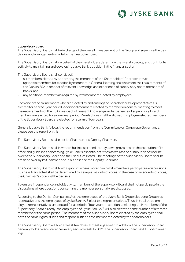

# Supervisory Board

The Supervisory Board shall be in charge of the overall management of the Group and supervise the decisions and arrangements made by the Executive Board.

The Supervisory Board shall on behalf of the shareholders determine the overall strategy and contribute actively to maintaining and developing Jyske Bank's position in the financial sector.

The Supervisory Board shall consist of:

- six members elected by and among the members of the Shareholders' Representatives
- up to two members for election by members in General Meeting and who meet the requirements of the Danish FSA in respect of relevant knowledge and experience of supervisory board members of banks, and
- any additional members as required by law (members elected by employees)

Each one of the six members who are elected by and among the Shareholders' Representatives is elected for a three-year period. Additional members elected by members in general meeting to meet the requirements of the FSA in respect of relevant knowledge and experience of supervisory board members are elected for a one-year period. Re-elections shall be allowed. Employee-elected members of the Supervisory Board are elected for a term of four years.

Generally Jyske Bank follows the recommendation from the Committee on Corporate Governance; please see the report on this.

The Supervisory Board shall elect its Chairman and Deputy Chairman.

The Supervisory Board shall in written business procedures lay down provisions on the execution of its office and guidelines concerning Jyske Bank's essential activities as well as the distribution of work between the Supervisory Board and the Executive Board. The meetings of the Supervisory Board shall be presided over by its Chairman and in his absence the Deputy Chairman.

The Supervisory Board shall form a quorum where more than half its members participate in discussions. Business transacted shall be determined by a simple majority of votes. In the case of an equality of votes, the Chairman's vote shall be decisive.

To ensure independence and objectivity, members of the Supervisory Board shall not participate in the discussions where questions concerning the member personally are discussed.

According to the Danish Companies Act, the employees of the Jyske Bank Group elect one Group representative and the employees of Jyske Bank A/S elect two representatives. Thus, in total three employee representatives are elected for a period of four years. In addition to electing their members of the Supervisory Board directly, the employees of Jyske Bank A/S will also elect the same number of alternate members for the same period. The members of the Supervisory Board elected by the employees shall have the same rights, duties and responsibilities as the members elected by the shareholders.

The Supervisory Board will hold at least ten physical meetings a year. In addition, the Supervisory Board generally holds teleconferences every second week. In 2021, the Supervisory Board held 48 board meetings.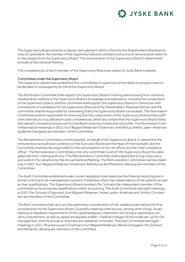# **LA JYSKE BANK**

The Supervisory Board receives a regular cash payment, which is fixed by the Shareholders' Representatives of Jyske Bank. No member of the Supervisory Board is entitled to any kind of remuneration when he or she resigns from the Supervisory Board. The remuneration to the Supervisory Board is determined annually at the General Meeting.

The competencies of each member of the Supervisory Board are stated on Jyske Bank's website.

# Committees under the Supervisory Board

The Supervisory Board has established five committees to supervise certain fields or prepare cases to be decided on subsequently by the entire Supervisory Board.

*The Nomination Committee* shall support the Supervisory Board in solving tasks ensuing from statutory requirements relating to the Supervisory Board's knowledge and experience, including the composition of the Supervisory Board, and the committee shall support the Supervisory Board in connection with nominations of candidates for the Supervisory Board and the Shareholders' Representatives, and the committee shall be responsible for overseeing thats the Supervisory Board is evaluated. The Nomination Committee shall be responsible for ensuring that the composition of the Supervisory Board entails sufficient diversity as to qualifications and competences, which also entails that the Supervisory Board holds the relevant competences pursuant to the Bank's business model and risk profile. The Nomination Committee had six meetings in 2021. Kurt Bligaard Pedersen (Chairman), Keld Norup, Anker Laden-Andersen og Bente Overgaard are members of the Committee.

*The Remuneration Committee* is commissioned, on behalf of the Supervisory Board, to determine the remuneration and pension conditions of the Executive Board and the Head of Internal Audit, and the Committee shall also be responsible for the remuneration of the risk officer and the chief compliance officer. The Remuneration Committee is the only committee to whom the Supervisory Board has delegated decision-making authority. The Remuneration Committee shall prepare the Group's pay policy and submit it for adoption by the Annual General Meeting. The Remuneration Committee had two meetings in 2021. Kurt Bligaard Pedersen (Chairman), Keld Norup and Marianne Lillevang are members of the Committee.

*The Audit Committee* established under current legislation shall supervise the financial reporting and internal control and risk-management systems; it shall also check the independence of the auditors as well as their qualifications. The Supervisory Board considers Per Schnack the independent member of the committee as he possesses qualifications within accounting. The Audit Committee had eight meetings in 2021. Per Schnack (Chairman), Kurt Bligaard Pedersen, Anker Laden-Andersen and Johnny Christensen are members of the Committee.

*The Risk Committee* shall carry out the preliminary consideration of risk-related issues before the final consideration by the Supervisory Board. Quarterly meetings shall discuss, among other things, issues relating to regulatory requirements of the capital adequacy statement, the Group's capital base, solvency requirement, as well as capital and liquidity buffers, material changes of the model set-up for risk management, and the annual re-estimate and validation of models. The Risk Committee held eight meetings in 2021. Rina Asmussen (Chairman), Kurt Bligaard Pedersen, Bente Overgaard, Per Schnack and Marianne Lillevang are members of the committee.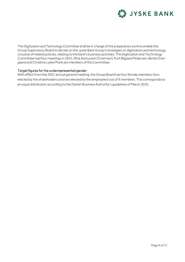

*The Digitization and Technology Committee* shall be in charge of the preparatory work to enable the Group Supervisory Board to decide on the Jyske Bank Group's strategies on digitization and technology, inclusive of related policies, relating to the bank's business activities. The Digitization and Technology Committee had four meetings in 2021. Rina Asmussen (Chairman), Kurt Bligaard Pedersen, Bente Overgaard and Christina Lykke Munk are members of the Committee.

# Target figures for the underrepresented gender

With effect from the 2021 annual general meeting, the Group Board has four female members (two elected by the shareholders and two elected by the employees) out of 9 members. This corresponds to an equal distribution according to the Danish Business Authority's guidelines of March 2016.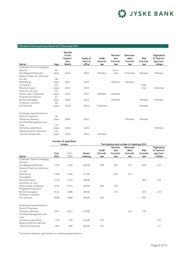# **JYSKE BANK**

## Members of the Supervisory Board at 31 December 2021

| Name                       | Age   | Elected<br>to the<br>Supervi-<br>sory<br>Board | Expiry of<br>term of<br>office | Audit<br>Commit-<br>tee | Nomina-<br>tion<br>Commit-<br>tee | Remuner-<br>ation<br>Commit-<br>tee | <b>Risk</b><br>Commit-<br>tee | Digitization<br>& Technol-<br>ogy Com-<br>mittee |
|----------------------------|-------|------------------------------------------------|--------------------------------|-------------------------|-----------------------------------|-------------------------------------|-------------------------------|--------------------------------------------------|
| Chairman, former managing  |       |                                                |                                |                         |                                   |                                     |                               |                                                  |
| director                   | 62    |                                                |                                |                         | Chair-                            |                                     |                               |                                                  |
| Kurt Bligaard Pedersen     | years | 2014                                           | 2023                           | Member                  | man                               | Chairman                            | Member                        | Member                                           |
| Deputy Chairman, Attorney- |       |                                                |                                |                         |                                   |                                     |                               |                                                  |
| at-Law                     | 68    |                                                |                                |                         |                                   |                                     |                               |                                                  |
| Keld Norup                 | years | 2007                                           | 2022                           |                         | Member                            | Member                              |                               |                                                  |
| Consultant                 | 62    |                                                |                                |                         |                                   |                                     | Chair-                        |                                                  |
| Rina Asmussen              | years | 2014                                           | 2023                           |                         |                                   |                                     | man                           | Chairman                                         |
| Attorney-at-Law            | 65    |                                                |                                |                         |                                   |                                     |                               |                                                  |
| Anker Laden-Andersen       | years | 2019                                           | 2022                           | Member                  | Member                            |                                     |                               |                                                  |
| Programme Director         | 57    |                                                |                                |                         |                                   |                                     |                               |                                                  |
| Bente Overgaard            | years | 2020                                           | 2024                           |                         | Member                            |                                     | Member                        | Member                                           |
| Professor, member          | 60    |                                                |                                |                         |                                   |                                     |                               |                                                  |
| Per Schnack                | years | 2019                                           | 2024                           | Chairman                |                                   |                                     | Member                        |                                                  |
|                            |       |                                                |                                |                         |                                   |                                     |                               |                                                  |
| Employee representatives:  |       |                                                |                                |                         |                                   |                                     |                               |                                                  |
| District Chairman          | 56    |                                                |                                |                         |                                   |                                     |                               |                                                  |
| Marianne Lillevang         | years | 2006                                           | 2022                           |                         |                                   | Member                              | Member                        |                                                  |
| Portfolio Management Ad-   |       |                                                |                                |                         |                                   |                                     |                               |                                                  |
| viser                      | 43    |                                                |                                |                         |                                   |                                     |                               |                                                  |
| Christina Lykke Munk       | years | 2016                                           | 2022                           |                         |                                   |                                     |                               | Member                                           |
| Deputy District Chairman   | 59    |                                                |                                |                         |                                   |                                     |                               |                                                  |
| Johnny Christensen         | years | 2018                                           | 2022                           | Member                  |                                   |                                     |                               |                                                  |
|                            |       |                                                |                                |                         |                                   |                                     |                               |                                                  |

|                                                                            |              | Number of Jyske Bank<br>shares |                  | Participation and number of meetings 2021 |                                   |                                     |                               |                                                  |  |
|----------------------------------------------------------------------------|--------------|--------------------------------|------------------|-------------------------------------------|-----------------------------------|-------------------------------------|-------------------------------|--------------------------------------------------|--|
| Name                                                                       | End-<br>2021 | End-<br>2020                   | Board<br>meeting | Audit<br>Commit-<br>tee                   | Nomina-<br>tion<br>Commit-<br>tee | Remuner-<br>ation<br>Commit-<br>tee | <b>Risk</b><br>Commit-<br>tee | Digitization<br>& Technol-<br>ogy Com-<br>mittee |  |
| Chairman, former managing                                                  |              |                                |                  |                                           |                                   |                                     |                               |                                                  |  |
| director<br>Kurt Bligaard Pedersen<br>Deputy Chairman, Attorney-<br>at-Law | 1150         | 1150                           | 48/48            | 8/8                                       | 6/6                               | 2/2                                 | 8/8                           | 4/4                                              |  |
| Keld Norup<br>Consultant                                                   | 1100         | 1100                           | 47/48            |                                           | 6/6                               | 2/2                                 |                               |                                                  |  |
| Rina Asmussen<br>Attorney-at-Law                                           | 1715         | 1715                           | 48/48            |                                           |                                   |                                     | 8/8                           | 4/4                                              |  |
| Anker Laden-Andersen<br>Programme Director                                 | 2715         | 2715                           | 48/48            | 8/8                                       | 5/5                               |                                     |                               |                                                  |  |
| Bente Overgaard<br>Professor, member                                       | 3115         | 1590                           | 48/48            |                                           | 5/5                               |                                     | 8/8                           | 4/4                                              |  |
| Per Schnack                                                                | 3668         | 3668                           | 46/48            | 8/8                                       |                                   |                                     | 8/8                           |                                                  |  |
| Employee representatives:<br>District Chairman                             |              |                                |                  |                                           |                                   |                                     |                               |                                                  |  |
| Marianne Lillevang<br>Portfolio Management Ad-<br>viser                    | 2541         | 2611                           | 45/48            |                                           |                                   | 2/2                                 | 7/8                           |                                                  |  |
| Christina Lykke Munk<br>Deputy District Chairman                           | 279          | 279                            | 44/48            | 3/3                                       |                                   |                                     |                               | 4/4                                              |  |
| Johnny Christensen                                                         | 825          | 620                            | 46/48            | 5/5                                       |                                   |                                     |                               | 1/1                                              |  |

The board members' participation in meetings appear above.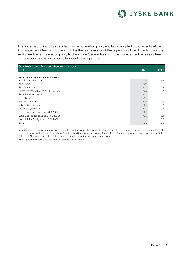# **JYSKE BANK**

The Supervisory Board has decided on a remuneration policy and had it adopted most recently at the Annual General Meeting in June 2021. It is the responsibility of the Supervisory Board to adjust and present anew the remuneration policy to the Annual General Meeting. The management receives a fixed remuneration and is not covered by incentive programmes.

| Duty to disclose information about remuneration |      |      |
|-------------------------------------------------|------|------|
| <b>DKKm</b>                                     | 2021 | 2020 |
|                                                 |      |      |
| Remuneration of the Supervisory Board           |      |      |
| Kurt Bligaard Pedersen                          | 1.6  | 1.3  |
| Keld Norup                                      | 0.9  | 0.6  |
| Rina Asmussen                                   | 0.7  | 0.7  |
| Bente Overgaard (joined on 16.06.2020)          | 0.8  | 0.3  |
| Anker Laden-Andersen                            | 0.7  | 0.5  |
| Per Schnack                                     | 0.7  | 0.6  |
| Marianne Lillevang                              | 0.6  | 0.6  |
| Johnny Christensen                              | 0.5  | 0.4  |
| Christina Lykke Munk                            | 0.4  | 0.5  |
| Philip Baruch (resigned on 23.03.2021)          | 0.2  | 0.8  |
| Jens A. Borup (resigned on 23.03.2021)          | 0.2  | 0.8  |
| Sven Buhrkall (resigned on 16.06.2020)          |      | 0.8  |
| Total                                           | 7.3  | 7.9  |

In addition to the fixed remuneration, the members of the committees under the Supervisory Board receive a committee remuneration. Of the total remuneration to the Supervisory Board, committee remuneration and Shareholders' Representatives' remuneration totalled DKK 3.0m in 2021 against DKK 3.1m in 2020, which amount is included in the above amounts. The Supervisory Board does not receive variable remuneration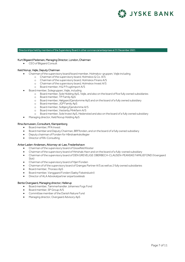

#### Directorships held by members of the Supervisory Board in other commercial enterprises at 31 December 2021

#### Kurt Bligaard Pedersen, Managing Director, London, Chairman

CEO of Bligaard Consult

#### Keld Norup, Vejle, Deputy Chairman

- Chairman of the supervisory board/board member, Holmskov-gruppen, Vejle including
	- o Chairman of the supervisory board, Holmskov & Co. A/S
	- o Chairman of the supervisory board, Holmskov Finans A/S
	- o Chairman of the supervisory board, Holmskov Invest A/S
	- o Board member, H & P Frugtimport A/S
- Board member, Solegruppen, Vejle, including
	- o Board member, Sole Holding ApS, Vejle, and also on the board of five fully owned subsidiaries
	- o Board member, TP Family ApS
	- o Board member, Hølgaard Ejendomme ApS and on the board of a fully owned subsidiary
	- o Board member, JGP Family ApS
	- o Board member, Solbjerg Ejendomme A/S
	- o Board member, Vesterby Minkfarm A/S
	- o Board member, Sole Invest ApS, Hedensted and also on the board of a fully owned subsidiary
- Managing director, Keld Norup Holding ApS

#### Rina Asmussen, Consultant, Klampenborg

- Board member, PFA Invest
- Board member and Deputy Chairman, BRFfonden, and on the board of a fully owned subsidiary
- Deputy chairman of Fonden for Håndværkskollegier
- Director of RA-Consulting

#### Anker Laden-Andersen, Attorney-at-Law, Frederikshavn

- Chairman of the supervisory board of Gisselfeld Kloster
- Chairman of the supervisory board of Hirtshals Havn and on the board of a fully-owned subsidiary
- Chairman of the supervisory board of DEN GREVELIGE OBERBECH-CLAUSEN-PEANSKE FAMILIEFOND (Voergaard Slot)
- Chairman of the supervisory board of Hjerl Fonden
- Chairman of of the supervisory board of Grøngas Partner A/S as well as 2 fully owned subsidiaries
- Board member, Thoraso ApS
- Board member, Vanggaard Fonden (Sæby Fiskeindustri)
- Director of ALA Advokatpartner anpartsselskab

#### Bente Overgaard, Managing director, Hellerup

- Board member, Tømmerhandler Johannes Fogs Fond
- Board member, SP Group A/S
- Committee member of the Danish Nature Fund
- Managing director, Overgaard Advisory ApS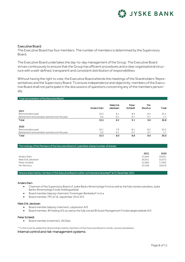

## Executive Board

The Executive Board has four members. The number of members is determined by the Supervisory Board.

The Executive Board undertakes the day-to-day management of the Group. The Executive Board strives continuously to ensure that the Group has efficient procedures and a clear organisational structure with a well-defined, transparent and consistent distribution of responsibilities.

Without having the right to vote, the Executive Board attends the meetings of the Shareholders' Representatives and the Supervisory Board. To ensure independence and objectivity, members of the Executive Board shall not participate in the discussions of questions concerning any of the members personally.

 $\overline{a}$ 

#### Total remuneration of the Executive Board

| 2021                                         | Anders Dam | <b>Niels Erik</b><br>Jakobsen | Peter<br>Schleidt | Per<br>Skovhus | Total |
|----------------------------------------------|------------|-------------------------------|-------------------|----------------|-------|
| Remuneration paid                            | 10.3       | 8.1                           | 8.4               | 8.3            | 35.1  |
| Retirement remuneration earned over the year | 0.2        | 0.1                           | 0.7               | 0.7            | 1.7   |
| Total                                        | 10.5       | 8.2                           | 9.1               | 9.0            | 36.8  |
| 2020                                         |            |                               |                   |                |       |
| Remuneration paid                            | 10.1       | 7.9                           | 8.1               | 8.2            | 34.3  |
| Retirement remuneration earned over the year | 0.2        | 0.1                           | 0.7               | 0.7            | 1.7   |
| Total                                        | 10.3       | 8.0                           | 8.8               | 8.9            | 36.0  |

#### The holdings of the Members of the Executive Board of Jyske Bank shares (number of shares)

|                     | 2021   | 2020   |
|---------------------|--------|--------|
| Anders Dam          | 31.844 | 29.601 |
| Niels Erik Jakobsen | 26,051 | 22,672 |
| Peter Schleidt      | 22.060 | 17,605 |
| Per Skovhus         | 23.358 | 18,619 |

Directorships held by members of the Executive Board in other commercial enterprises\* at 31 December 2021

#### Anders Dam

- Chairman of the Supervisory Board of Jyske Banks Almennyttige Fond as well as the fully owned subsidiary Jyske Banks Almennyttige Fonds Holdingselskab
- Board member (deputy chairman), Foreningen Bankdata F.m.b.a.
- Board member, FR I af 16. september 2015 A/S

#### Niels Erik Jakobsen

- Board member (deputy chairmen), Letpension A/S
- Board member, BI Holding A/S as well as the fully owned BI Asset Management Fondsmæglerselskab A/S

#### Peter Schleidt

Board member (chairman), JN Data

\* To this must be added the directorships held by members of the Executive Board in wholly-owned subsidiaries.

#### Internal control and risk-management systems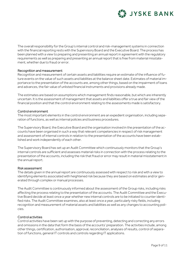

The overall responsibility for the Group's internal control and risk-management systems in connection with the financial reporting rests with the Supervisory Board and the Executive Board. The process has been planned with a view to preparing and presenting an annual report in agreement with the regulatory requirements as well as preparing and presenting an annual report that is free from material misstatement, whether due to fraud or error.

# Recognition and measurement

Recognition and measurement of certain assets and liabilities require an estimate of the influence of future events on the value of such assets and liabilities at the balance sheet date. Estimates of material importance to the presentation of the accounts are, among other things, based on the impairment of loans and advances, the fair value of unlisted financial instruments and provisions already made.

The estimates are based on assumptions which management finds reasonable, but which are inherently uncertain. It is the assessment of management that assets and liabilities offer a true and fair view of the financial position and that the control environment relating to the assessments made is satisfactory.

# Control environment

The most important elements in the control environment are an expedient organisation, including separation of functions, as well as internal policies and business procedures.

The Supervisory Board, the Executive Board and the organisation involved in the presentation of the accounts have been organised in such a way that relevant competencies in respect of risk management and assessment of internal controls in relation to the presentation of the accounts have been established and work independently of each other.

The Supervisory Board has set up an Audit Committee which continuously monitors that the Group's internal controls are sufficient and assesses material risks in connection with the process relating to the presentation of the accounts, including the risk that fraud or error may result in material misstatement in the annual report.

# Risk assessment

The details given in the annual report are continuously assessed with respect to risk and with a view to identifying elements associated with heightened risk because they are based on estimates and/or generated through complex or manual processes.

The Audit Committee is continuously informed about the assessment of the Group risks, including risks affecting the process relating to the presentation of the accounts. The Audit Committee and the Executive Board decide at least once a year whether new internal controls are to be initiated to counter identified risks. The Audit Committee examines, also at least once a year, particularly risky fields, including recognition and measurement of material assets and liabilities as well as any changes to accounting policies.

# Control activities

Control activities have been set up with the purpose of preventing, detecting and correcting any errors and omissions in the data that form the basis of the accounts' preparation. The activities include, among other things, certification, authorisation, approval, reconciliation, analyses of results, control of separation of functions, general IT controls and controls regarding IT applications.